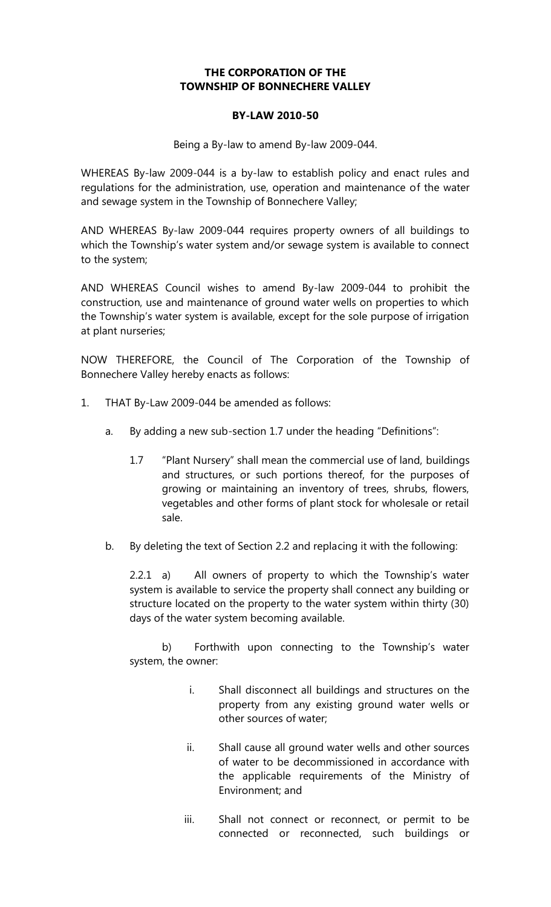## **THE CORPORATION OF THE TOWNSHIP OF BONNECHERE VALLEY**

## **BY-LAW 2010-50**

Being a By-law to amend By-law 2009-044.

WHEREAS By-law 2009-044 is a by-law to establish policy and enact rules and regulations for the administration, use, operation and maintenance of the water and sewage system in the Township of Bonnechere Valley;

AND WHEREAS By-law 2009-044 requires property owners of all buildings to which the Township's water system and/or sewage system is available to connect to the system;

AND WHEREAS Council wishes to amend By-law 2009-044 to prohibit the construction, use and maintenance of ground water wells on properties to which the Township's water system is available, except for the sole purpose of irrigation at plant nurseries;

NOW THEREFORE, the Council of The Corporation of the Township of Bonnechere Valley hereby enacts as follows:

- 1. THAT By-Law 2009-044 be amended as follows:
	- a. By adding a new sub-section 1.7 under the heading "Definitions":
		- 1.7 "Plant Nursery" shall mean the commercial use of land, buildings and structures, or such portions thereof, for the purposes of growing or maintaining an inventory of trees, shrubs, flowers, vegetables and other forms of plant stock for wholesale or retail sale.
	- b. By deleting the text of Section 2.2 and replacing it with the following:

 $2.2.1$  a) All owners of property to which the Township's water system is available to service the property shall connect any building or structure located on the property to the water system within thirty (30) days of the water system becoming available.

b) Forthwith upon connecting to the Township's water system, the owner:

- i. Shall disconnect all buildings and structures on the property from any existing ground water wells or other sources of water;
- ii. Shall cause all ground water wells and other sources of water to be decommissioned in accordance with the applicable requirements of the Ministry of Environment; and
- iii. Shall not connect or reconnect, or permit to be connected or reconnected, such buildings or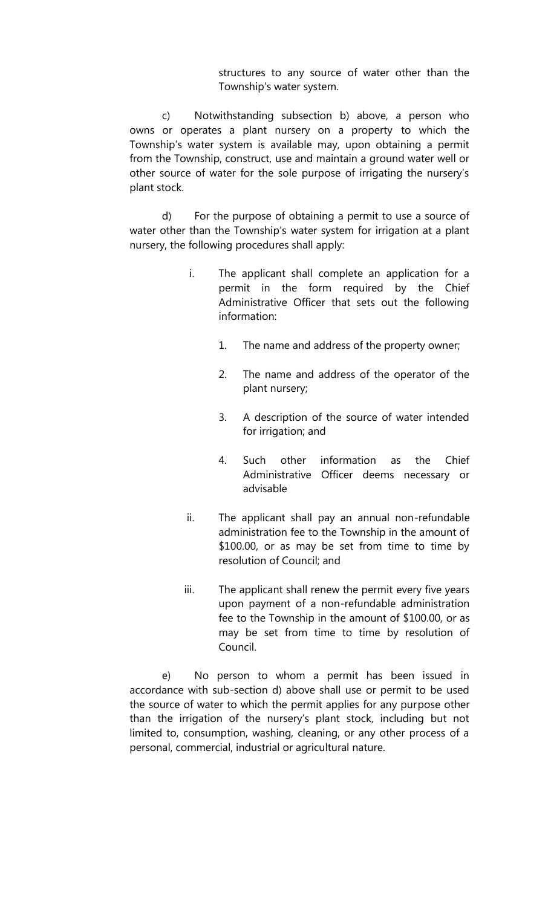structures to any source of water other than the Township's water system.

c) Notwithstanding subsection b) above, a person who owns or operates a plant nursery on a property to which the Township's water system is available may, upon obtaining a permit from the Township, construct, use and maintain a ground water well or other source of water for the sole purpose of irrigating the nursery's plant stock.

d) For the purpose of obtaining a permit to use a source of water other than the Township's water system for irrigation at a plant nursery, the following procedures shall apply:

- i. The applicant shall complete an application for a permit in the form required by the Chief Administrative Officer that sets out the following information:
	- 1. The name and address of the property owner;
	- 2. The name and address of the operator of the plant nursery;
	- 3. A description of the source of water intended for irrigation; and
	- 4. Such other information as the Chief Administrative Officer deems necessary or advisable
- ii. The applicant shall pay an annual non-refundable administration fee to the Township in the amount of \$100.00, or as may be set from time to time by resolution of Council; and
- iii. The applicant shall renew the permit every five years upon payment of a non-refundable administration fee to the Township in the amount of \$100.00, or as may be set from time to time by resolution of Council.

e) No person to whom a permit has been issued in accordance with sub-section d) above shall use or permit to be used the source of water to which the permit applies for any purpose other than the irrigation of the nursery's plant stock, including but not limited to, consumption, washing, cleaning, or any other process of a personal, commercial, industrial or agricultural nature.